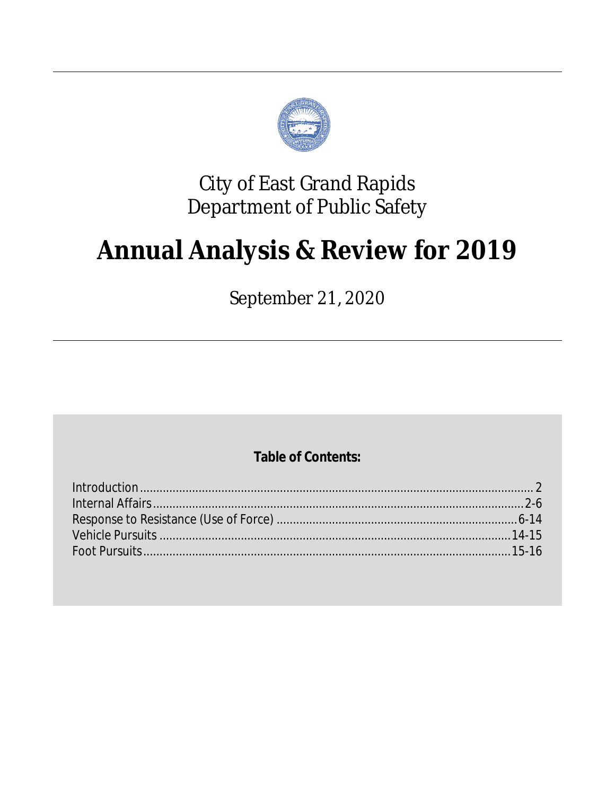

## **City of East Grand Rapids Department of Public Safety**

# **Annual Analysis & Review for 2019**

September 21, 2020

### **Table of Contents:**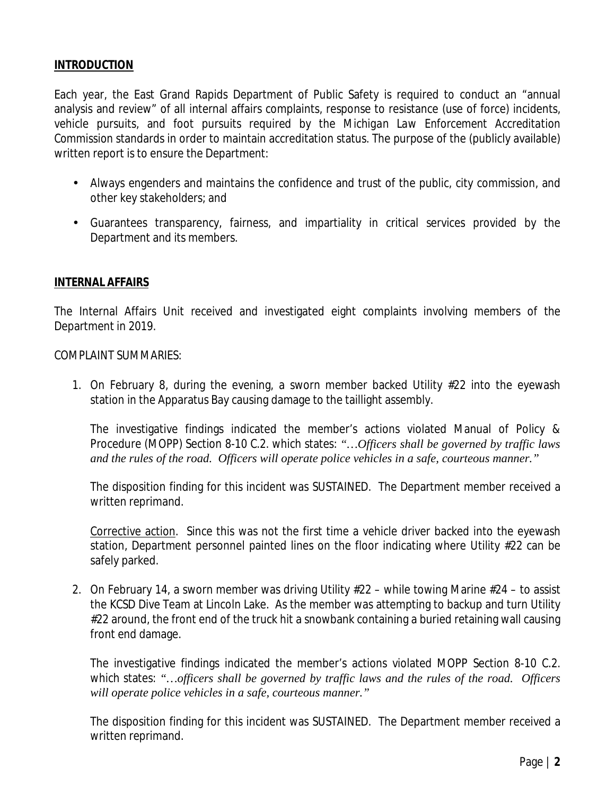#### **INTRODUCTION**

Each year, the East Grand Rapids Department of Public Safety is required to conduct an "annual analysis and review" of all internal affairs complaints, response to resistance (use of force) incidents, vehicle pursuits, and foot pursuits required by the *Michigan Law Enforcement Accreditation Commission* standards in order to maintain accreditation status. The purpose of the (publicly available) written report is to ensure the Department:

- Always engenders and maintains the confidence and trust of the public, city commission, and other key stakeholders; and
- Guarantees transparency, fairness, and impartiality in critical services provided by the Department and its members.

#### **INTERNAL AFFAIRS**

The Internal Affairs Unit received and investigated eight complaints involving members of the Department in 2019.

#### COMPLAINT SUMMARIES:

1. On February 8, during the evening, a sworn member backed Utility #22 into the eyewash station in the Apparatus Bay causing damage to the taillight assembly.

The investigative findings indicated the member's actions violated Manual of Policy & Procedure (MOPP) Section 8-10 C.2. which states: *"…Officers shall be governed by traffic laws and the rules of the road. Officers will operate police vehicles in a safe, courteous manner."*

The disposition finding for this incident was SUSTAINED. The Department member received a written reprimand.

Corrective action. Since this was not the first time a vehicle driver backed into the eyewash station, Department personnel painted lines on the floor indicating where Utility #22 can be safely parked.

2. On February 14, a sworn member was driving Utility #22 – while towing Marine #24 – to assist the KCSD Dive Team at Lincoln Lake. As the member was attempting to backup and turn Utility #22 around, the front end of the truck hit a snowbank containing a buried retaining wall causing front end damage.

The investigative findings indicated the member's actions violated MOPP Section 8-10 C.2. which states: *"…officers shall be governed by traffic laws and the rules of the road. Officers will operate police vehicles in a safe, courteous manner."*

The disposition finding for this incident was SUSTAINED. The Department member received a written reprimand.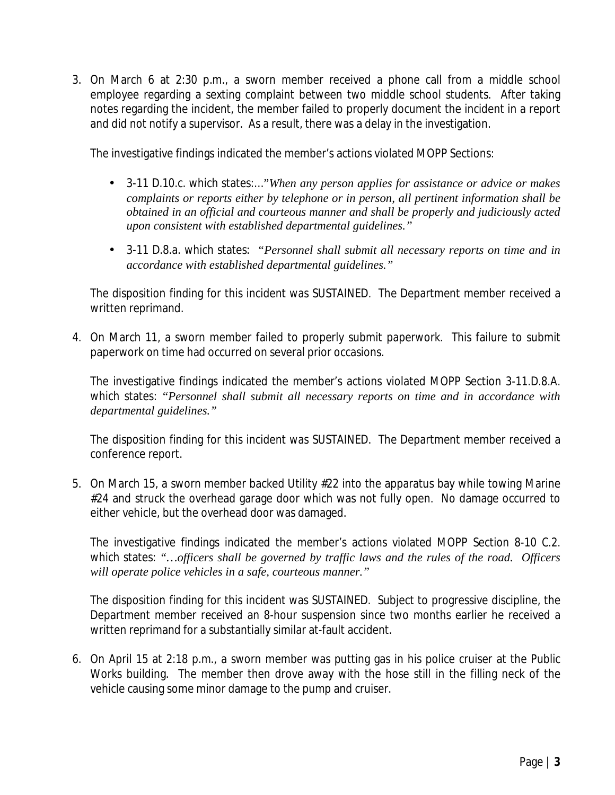3. On March 6 at 2:30 p.m., a sworn member received a phone call from a middle school employee regarding a sexting complaint between two middle school students. After taking notes regarding the incident, the member failed to properly document the incident in a report and did not notify a supervisor. As a result, there was a delay in the investigation.

The investigative findings indicated the member's actions violated MOPP Sections:

- 3-11 D.10.c. which states:…*"When any person applies for assistance or advice or makes complaints or reports either by telephone or in person, all pertinent information shall be obtained in an official and courteous manner and shall be properly and judiciously acted upon consistent with established departmental guidelines."*
- 3-11 D.8.a. which states: *"Personnel shall submit all necessary reports on time and in accordance with established departmental guidelines."*

The disposition finding for this incident was SUSTAINED. The Department member received a written reprimand.

4. On March 11, a sworn member failed to properly submit paperwork. This failure to submit paperwork on time had occurred on several prior occasions.

The investigative findings indicated the member's actions violated MOPP Section 3-11.D.8.A. which states: *"Personnel shall submit all necessary reports on time and in accordance with departmental guidelines."*

The disposition finding for this incident was SUSTAINED. The Department member received a conference report.

5. On March 15, a sworn member backed Utility #22 into the apparatus bay while towing Marine #24 and struck the overhead garage door which was not fully open. No damage occurred to either vehicle, but the overhead door was damaged.

The investigative findings indicated the member's actions violated MOPP Section 8-10 C.2. which states: *"…officers shall be governed by traffic laws and the rules of the road. Officers will operate police vehicles in a safe, courteous manner."*

The disposition finding for this incident was SUSTAINED. Subject to progressive discipline, the Department member received an 8-hour suspension since two months earlier he received a written reprimand for a substantially similar at-fault accident.

6. On April 15 at 2:18 p.m., a sworn member was putting gas in his police cruiser at the Public Works building. The member then drove away with the hose still in the filling neck of the vehicle causing some minor damage to the pump and cruiser.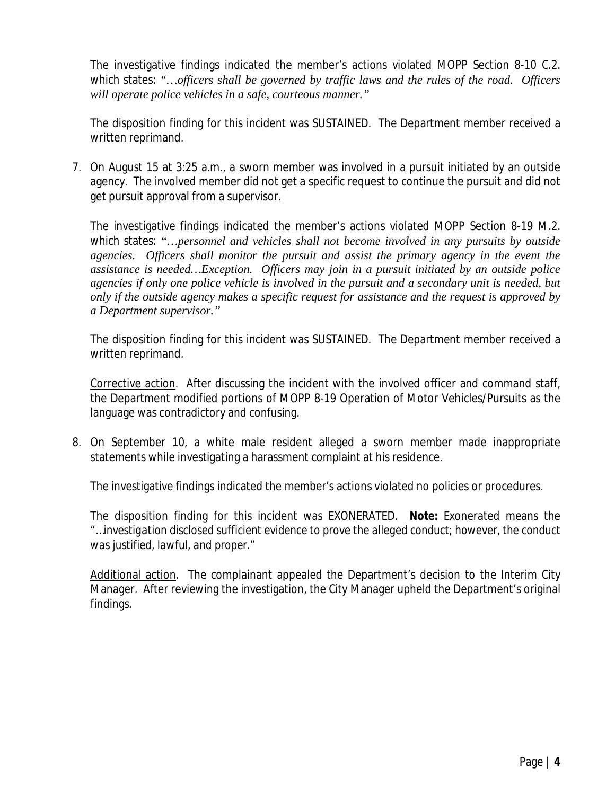The investigative findings indicated the member's actions violated MOPP Section 8-10 C.2. which states: *"…officers shall be governed by traffic laws and the rules of the road. Officers will operate police vehicles in a safe, courteous manner."*

The disposition finding for this incident was SUSTAINED. The Department member received a written reprimand.

7. On August 15 at 3:25 a.m., a sworn member was involved in a pursuit initiated by an outside agency. The involved member did not get a specific request to continue the pursuit and did not get pursuit approval from a supervisor.

The investigative findings indicated the member's actions violated MOPP Section 8-19 M.2. which states: *"…personnel and vehicles shall not become involved in any pursuits by outside agencies. Officers shall monitor the pursuit and assist the primary agency in the event the assistance is needed…Exception. Officers may join in a pursuit initiated by an outside police agencies if only one police vehicle is involved in the pursuit and a secondary unit is needed, but only if the outside agency makes a specific request for assistance and the request is approved by a Department supervisor."*

The disposition finding for this incident was SUSTAINED. The Department member received a written reprimand.

Corrective action. After discussing the incident with the involved officer and command staff, the Department modified portions of MOPP 8-19 Operation of Motor Vehicles/Pursuits as the language was contradictory and confusing.

8. On September 10, a white male resident alleged a sworn member made inappropriate statements while investigating a harassment complaint at his residence.

The investigative findings indicated the member's actions violated no policies or procedures.

The disposition finding for this incident was EXONERATED. **Note:** Exonerated means the *"…investigation disclosed sufficient evidence to prove the alleged conduct; however, the conduct was justified, lawful, and proper."*

Additional action. The complainant appealed the Department's decision to the Interim City Manager. After reviewing the investigation, the City Manager upheld the Department's original findings.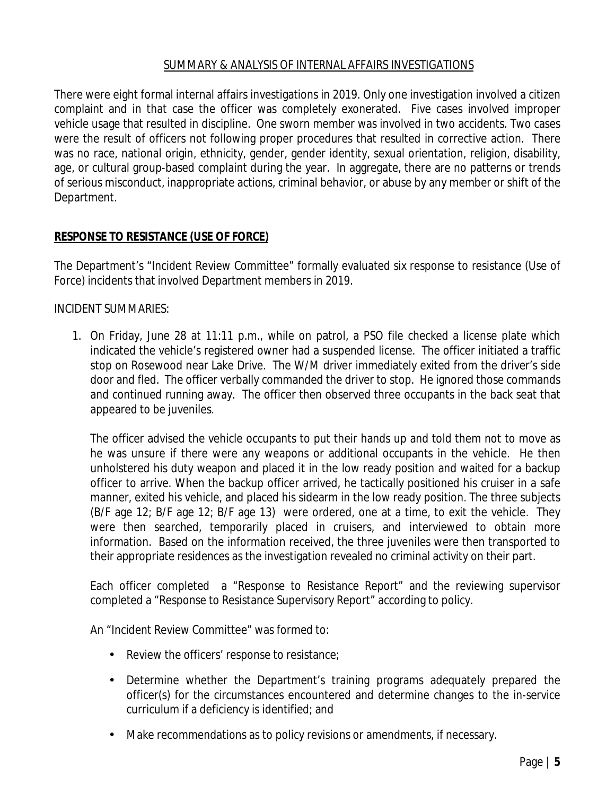#### SUMMARY & ANALYSIS OF INTERNAL AFFAIRS INVESTIGATIONS

There were eight formal internal affairs investigations in 2019. Only one investigation involved a citizen complaint and in that case the officer was completely exonerated. Five cases involved improper vehicle usage that resulted in discipline. One sworn member was involved in two accidents. Two cases were the result of officers not following proper procedures that resulted in corrective action. There was no race, national origin, ethnicity, gender, gender identity, sexual orientation, religion, disability, age, or cultural group-based complaint during the year. In aggregate, there are no patterns or trends of serious misconduct, inappropriate actions, criminal behavior, or abuse by any member or shift of the Department.

#### **RESPONSE TO RESISTANCE (USE OF FORCE)**

The Department's "Incident Review Committee" formally evaluated six response to resistance (Use of Force) incidents that involved Department members in 2019.

#### INCIDENT SUMMARIES:

1. On Friday, June 28 at 11:11 p.m., while on patrol, a PSO file checked a license plate which indicated the vehicle's registered owner had a suspended license. The officer initiated a traffic stop on Rosewood near Lake Drive. The W/M driver immediately exited from the driver's side door and fled. The officer verbally commanded the driver to stop. He ignored those commands and continued running away. The officer then observed three occupants in the back seat that appeared to be juveniles.

The officer advised the vehicle occupants to put their hands up and told them not to move as he was unsure if there were any weapons or additional occupants in the vehicle. He then unholstered his duty weapon and placed it in the low ready position and waited for a backup officer to arrive. When the backup officer arrived, he tactically positioned his cruiser in a safe manner, exited his vehicle, and placed his sidearm in the low ready position. The three subjects (B/F age 12; B/F age 12; B/F age 13) were ordered, one at a time, to exit the vehicle. They were then searched, temporarily placed in cruisers, and interviewed to obtain more information. Based on the information received, the three juveniles were then transported to their appropriate residences as the investigation revealed no criminal activity on their part.

Each officer completed a "Response to Resistance Report" and the reviewing supervisor completed a "Response to Resistance Supervisory Report" according to policy.

An "Incident Review Committee" was formed to:

- Review the officers' response to resistance;
- Determine whether the Department's training programs adequately prepared the officer(s) for the circumstances encountered and determine changes to the in-service curriculum if a deficiency is identified; and
- Make recommendations as to policy revisions or amendments, if necessary.ä,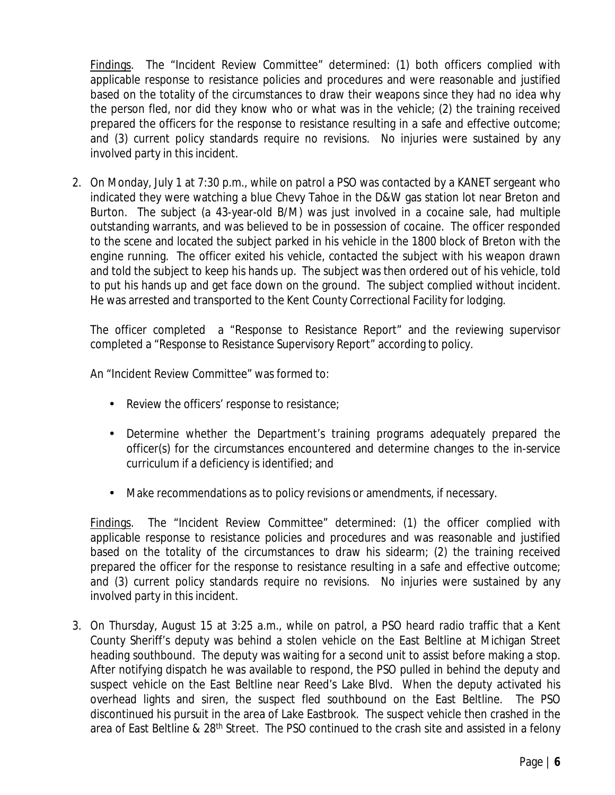Findings. The "Incident Review Committee" determined: (1) both officers complied with applicable response to resistance policies and procedures and were reasonable and justified based on the totality of the circumstances to draw their weapons since they had no idea why the person fled, nor did they know who or what was in the vehicle; (2) the training received prepared the officers for the response to resistance resulting in a safe and effective outcome; and (3) current policy standards require no revisions. No injuries were sustained by any involved party in this incident.

2. On Monday, July 1 at 7:30 p.m., while on patrol a PSO was contacted by a KANET sergeant who indicated they were watching a blue Chevy Tahoe in the D&W gas station lot near Breton and Burton. The subject (a 43-year-old B/M) was just involved in a cocaine sale, had multiple outstanding warrants, and was believed to be in possession of cocaine. The officer responded to the scene and located the subject parked in his vehicle in the 1800 block of Breton with the engine running. The officer exited his vehicle, contacted the subject with his weapon drawn and told the subject to keep his hands up. The subject was then ordered out of his vehicle, told to put his hands up and get face down on the ground. The subject complied without incident. He was arrested and transported to the Kent County Correctional Facility for lodging.

The officer completed a "Response to Resistance Report" and the reviewing supervisor completed a "Response to Resistance Supervisory Report" according to policy.

An "Incident Review Committee" was formed to:

- Review the officers' response to resistance;  $\mathbf{r}$
- Determine whether the Department's training programs adequately prepared the  $\mathbf{r}$ officer(s) for the circumstances encountered and determine changes to the in-service curriculum if a deficiency is identified; and
- $\hat{\mathbf{r}}$ Make recommendations as to policy revisions or amendments, if necessary.

Findings. The "Incident Review Committee" determined: (1) the officer complied with applicable response to resistance policies and procedures and was reasonable and justified based on the totality of the circumstances to draw his sidearm; (2) the training received prepared the officer for the response to resistance resulting in a safe and effective outcome; and (3) current policy standards require no revisions. No injuries were sustained by any involved party in this incident.

3. On Thursday, August 15 at 3:25 a.m., while on patrol, a PSO heard radio traffic that a Kent County Sheriff's deputy was behind a stolen vehicle on the East Beltline at Michigan Street heading southbound. The deputy was waiting for a second unit to assist before making a stop. After notifying dispatch he was available to respond, the PSO pulled in behind the deputy and suspect vehicle on the East Beltline near Reed's Lake Blvd. When the deputy activated his overhead lights and siren, the suspect fled southbound on the East Beltline. The PSO discontinued his pursuit in the area of Lake Eastbrook. The suspect vehicle then crashed in the area of East Beltline & 28<sup>th</sup> Street. The PSO continued to the crash site and assisted in a felony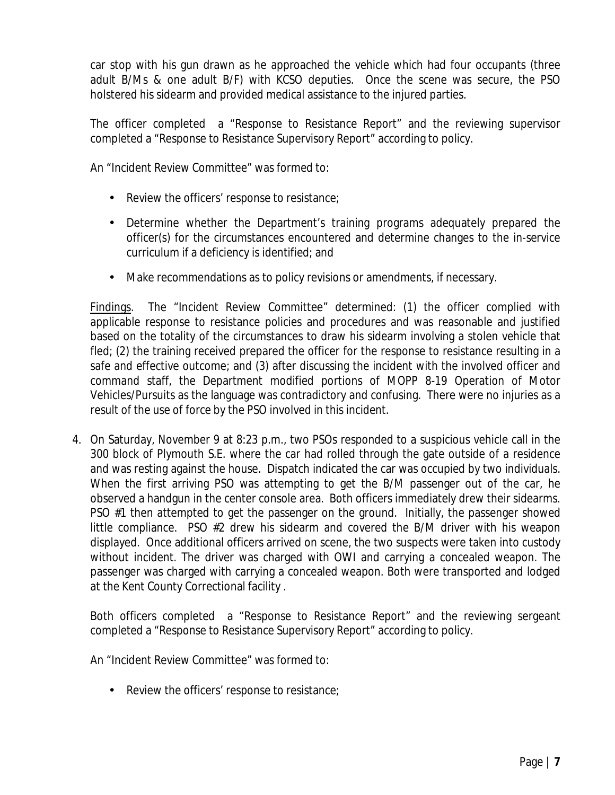car stop with his gun drawn as he approached the vehicle which had four occupants (three adult B/Ms & one adult B/F) with KCSO deputies. Once the scene was secure, the PSO holstered his sidearm and provided medical assistance to the injured parties.

The officer completed a "Response to Resistance Report" and the reviewing supervisor completed a "Response to Resistance Supervisory Report" according to policy.

An "Incident Review Committee" was formed to:

- $\mathbf{r}$  . Review the officers' response to resistance;
- Determine whether the Department's training programs adequately prepared the officer(s) for the circumstances encountered and determine changes to the in-service curriculum if a deficiency is identified; and
- Make recommendations as to policy revisions or amendments, if necessary.  $\hat{\mathbf{r}}$

Findings. The "Incident Review Committee" determined: (1) the officer complied with applicable response to resistance policies and procedures and was reasonable and justified based on the totality of the circumstances to draw his sidearm involving a stolen vehicle that fled; (2) the training received prepared the officer for the response to resistance resulting in a safe and effective outcome; and (3) after discussing the incident with the involved officer and command staff, the Department modified portions of MOPP 8-19 Operation of Motor Vehicles/Pursuits as the language was contradictory and confusing. There were no injuries as a result of the use of force by the PSO involved in this incident.

4. On Saturday, November 9 at 8:23 p.m., two PSOs responded to a suspicious vehicle call in the 300 block of Plymouth S.E. where the car had rolled through the gate outside of a residence and was resting against the house. Dispatch indicated the car was occupied by two individuals. When the first arriving PSO was attempting to get the B/M passenger out of the car, he observed a handgun in the center console area. Both officers immediately drew their sidearms. PSO #1 then attempted to get the passenger on the ground. Initially, the passenger showed little compliance. PSO #2 drew his sidearm and covered the B/M driver with his weapon displayed. Once additional officers arrived on scene, the two suspects were taken into custody without incident. The driver was charged with OWI and carrying a concealed weapon. The passenger was charged with carrying a concealed weapon. Both were transported and lodged at the Kent County Correctional facility .

Both officers completed a "Response to Resistance Report" and the reviewing sergeant completed a "Response to Resistance Supervisory Report" according to policy.

An "Incident Review Committee" was formed to:

Review the officers' response to resistance;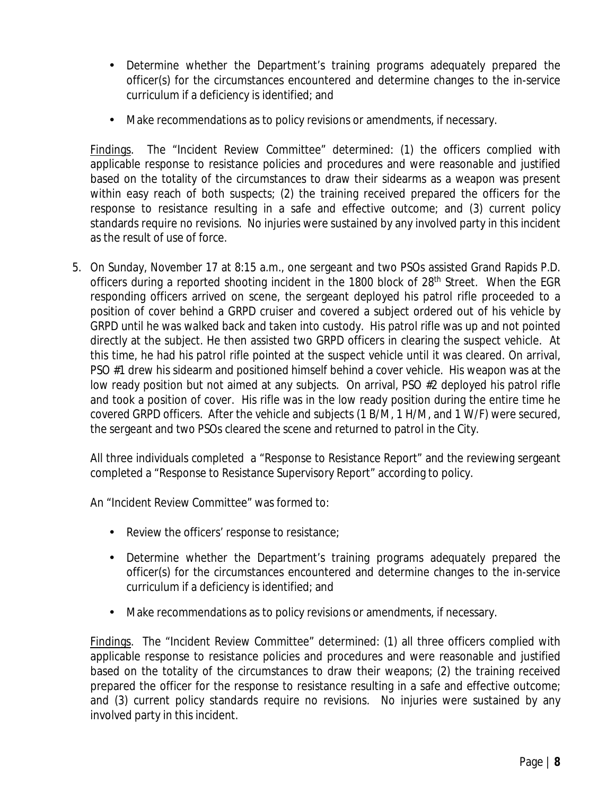- Determine whether the Department's training programs adequately prepared the  $\mathbf{r}$  . officer(s) for the circumstances encountered and determine changes to the in-service curriculum if a deficiency is identified; and
- Make recommendations as to policy revisions or amendments, if necessary. ä,

Findings. The "Incident Review Committee" determined: (1) the officers complied with applicable response to resistance policies and procedures and were reasonable and justified based on the totality of the circumstances to draw their sidearms as a weapon was present within easy reach of both suspects; (2) the training received prepared the officers for the response to resistance resulting in a safe and effective outcome; and (3) current policy standards require no revisions. No injuries were sustained by any involved party in this incident as the result of use of force.

5. On Sunday, November 17 at 8:15 a.m., one sergeant and two PSOs assisted Grand Rapids P.D. officers during a reported shooting incident in the 1800 block of 28<sup>th</sup> Street. When the EGR responding officers arrived on scene, the sergeant deployed his patrol rifle proceeded to a position of cover behind a GRPD cruiser and covered a subject ordered out of his vehicle by GRPD until he was walked back and taken into custody. His patrol rifle was up and not pointed directly at the subject. He then assisted two GRPD officers in clearing the suspect vehicle. At this time, he had his patrol rifle pointed at the suspect vehicle until it was cleared. On arrival, PSO #1 drew his sidearm and positioned himself behind a cover vehicle. His weapon was at the low ready position but not aimed at any subjects. On arrival, PSO #2 deployed his patrol rifle and took a position of cover. His rifle was in the low ready position during the entire time he covered GRPD officers. After the vehicle and subjects (1 B/M, 1 H/M, and 1 W/F) were secured, the sergeant and two PSOs cleared the scene and returned to patrol in the City.

All three individuals completed a "Response to Resistance Report" and the reviewing sergeant completed a "Response to Resistance Supervisory Report" according to policy.

An "Incident Review Committee" was formed to:

- Review the officers' response to resistance;
- $\mathcal{L}^{\text{max}}$ Determine whether the Department's training programs adequately prepared the officer(s) for the circumstances encountered and determine changes to the in-service curriculum if a deficiency is identified; and
- ä, Make recommendations as to policy revisions or amendments, if necessary.

Findings. The "Incident Review Committee" determined: (1) all three officers complied with applicable response to resistance policies and procedures and were reasonable and justified based on the totality of the circumstances to draw their weapons; (2) the training received prepared the officer for the response to resistance resulting in a safe and effective outcome; and (3) current policy standards require no revisions. No injuries were sustained by any involved party in this incident.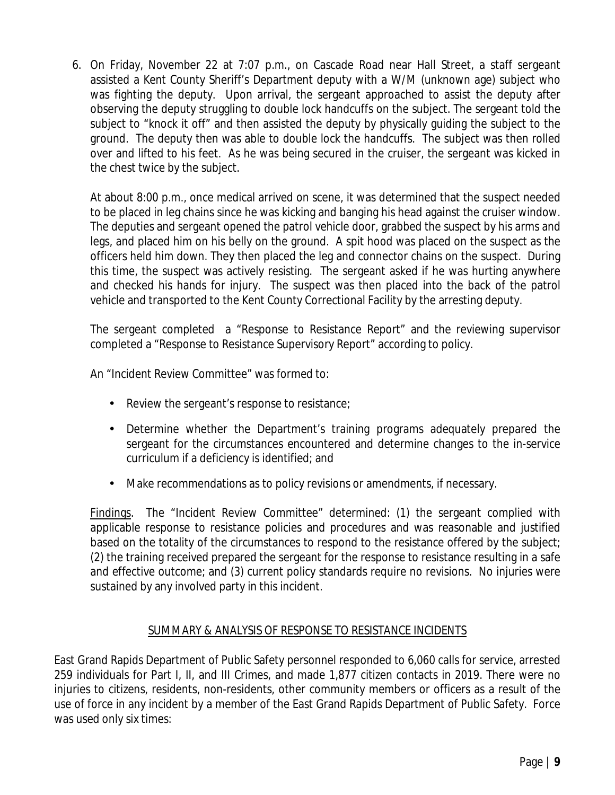6. On Friday, November 22 at 7:07 p.m., on Cascade Road near Hall Street, a staff sergeant assisted a Kent County Sheriff's Department deputy with a W/M (unknown age) subject who was fighting the deputy. Upon arrival, the sergeant approached to assist the deputy after observing the deputy struggling to double lock handcuffs on the subject. The sergeant told the subject to "knock it off" and then assisted the deputy by physically guiding the subject to the ground. The deputy then was able to double lock the handcuffs. The subject was then rolled over and lifted to his feet. As he was being secured in the cruiser, the sergeant was kicked in the chest twice by the subject.

At about 8:00 p.m., once medical arrived on scene, it was determined that the suspect needed to be placed in leg chains since he was kicking and banging his head against the cruiser window. The deputies and sergeant opened the patrol vehicle door, grabbed the suspect by his arms and legs, and placed him on his belly on the ground. A spit hood was placed on the suspect as the officers held him down. They then placed the leg and connector chains on the suspect. During this time, the suspect was actively resisting. The sergeant asked if he was hurting anywhere and checked his hands for injury. The suspect was then placed into the back of the patrol vehicle and transported to the Kent County Correctional Facility by the arresting deputy.

The sergeant completed a "Response to Resistance Report" and the reviewing supervisor completed a "Response to Resistance Supervisory Report" according to policy.

An "Incident Review Committee" was formed to:

- Review the sergeant's response to resistance;
- Determine whether the Department's training programs adequately prepared the sergeant for the circumstances encountered and determine changes to the in-service curriculum if a deficiency is identified; and
- Make recommendations as to policy revisions or amendments, if necessary.  $\mathbf{r}$

Findings. The "Incident Review Committee" determined: (1) the sergeant complied with applicable response to resistance policies and procedures and was reasonable and justified based on the totality of the circumstances to respond to the resistance offered by the subject; (2) the training received prepared the sergeant for the response to resistance resulting in a safe and effective outcome; and (3) current policy standards require no revisions. No injuries were sustained by any involved party in this incident.

#### SUMMARY & ANALYSIS OF RESPONSE TO RESISTANCE INCIDENTS

East Grand Rapids Department of Public Safety personnel responded to 6,060 calls for service, arrested 259 individuals for Part I, II, and III Crimes, and made 1,877 citizen contacts in 2019. There were no injuries to citizens, residents, non-residents, other community members or officers as a result of the use of force in any incident by a member of the East Grand Rapids Department of Public Safety. Force was used only six times: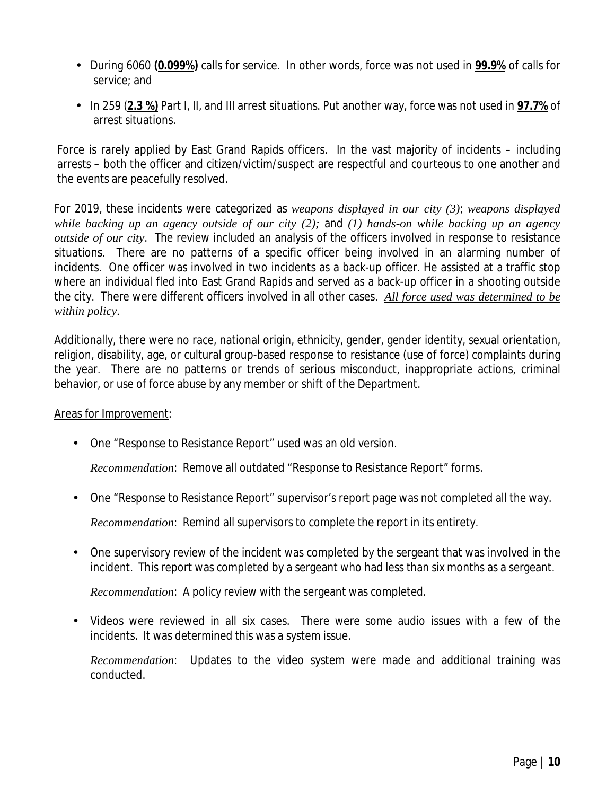- During 6060 **(0.099%)** calls for service. In other words, force was not used in **99.9%** of calls for service; and
- In 259 (**2.3 %)** Part I, II, and III arrest situations. Put another way, force was not used in **97.7%** of arrest situations.

Force is rarely applied by East Grand Rapids officers. In the vast majority of incidents – including arrests – both the officer and citizen/victim/suspect are respectful and courteous to one another and the events are peacefully resolved.

For 2019, these incidents were categorized as *weapons displayed in our city (3)*; *weapons displayed while backing up an agency outside of our city (2);* and *(1) hands-on while backing up an agency outside of our city*. The review included an analysis of the officers involved in response to resistance situations. There are no patterns of a specific officer being involved in an alarming number of incidents. One officer was involved in two incidents as a back-up officer. He assisted at a traffic stop where an individual fled into East Grand Rapids and served as a back-up officer in a shooting outside the city. There were different officers involved in all other cases. *All force used was determined to be within policy*.

Additionally, there were no race, national origin, ethnicity, gender, gender identity, sexual orientation, religion, disability, age, or cultural group-based response to resistance (use of force) complaints during the year. There are no patterns or trends of serious misconduct, inappropriate actions, criminal behavior, or use of force abuse by any member or shift of the Department.

#### Areas for Improvement:

One "Response to Resistance Report" used was an old version.

*Recommendation*: Remove all outdated "Response to Resistance Report" forms.

One "Response to Resistance Report" supervisor's report page was not completed all the way.

*Recommendation*: Remind all supervisors to complete the report in its entirety.

One supervisory review of the incident was completed by the sergeant that was involved in the  $\mathbf{r}$ incident. This report was completed by a sergeant who had less than six months as a sergeant.

*Recommendation*: A policy review with the sergeant was completed.

Videos were reviewed in all six cases. There were some audio issues with a few of the incidents. It was determined this was a system issue.

*Recommendation*: Updates to the video system were made and additional training was conducted.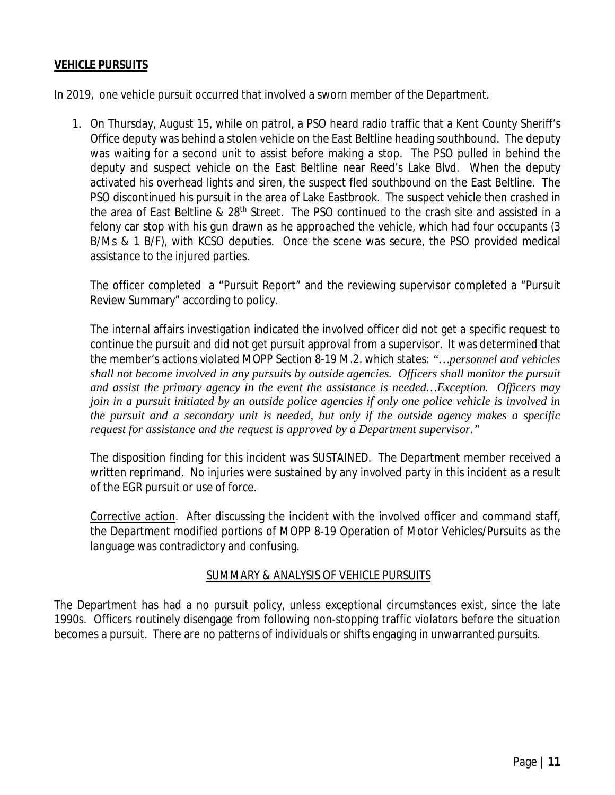#### **VEHICLE PURSUITS**

In 2019, one vehicle pursuit occurred that involved a sworn member of the Department.

1. On Thursday, August 15, while on patrol, a PSO heard radio traffic that a Kent County Sheriff's Office deputy was behind a stolen vehicle on the East Beltline heading southbound. The deputy was waiting for a second unit to assist before making a stop. The PSO pulled in behind the deputy and suspect vehicle on the East Beltline near Reed's Lake Blvd. When the deputy activated his overhead lights and siren, the suspect fled southbound on the East Beltline. The PSO discontinued his pursuit in the area of Lake Eastbrook. The suspect vehicle then crashed in the area of East Beltline & 28<sup>th</sup> Street. The PSO continued to the crash site and assisted in a felony car stop with his gun drawn as he approached the vehicle, which had four occupants (3 B/Ms & 1 B/F), with KCSO deputies. Once the scene was secure, the PSO provided medical assistance to the injured parties.

The officer completed a "Pursuit Report" and the reviewing supervisor completed a "Pursuit Review Summary" according to policy.

The internal affairs investigation indicated the involved officer did not get a specific request to continue the pursuit and did not get pursuit approval from a supervisor. It was determined that the member's actions violated MOPP Section 8-19 M.2. which states: *"…personnel and vehicles shall not become involved in any pursuits by outside agencies. Officers shall monitor the pursuit and assist the primary agency in the event the assistance is needed…Exception. Officers may join in a pursuit initiated by an outside police agencies if only one police vehicle is involved in the pursuit and a secondary unit is needed, but only if the outside agency makes a specific request for assistance and the request is approved by a Department supervisor."*

The disposition finding for this incident was SUSTAINED. The Department member received a written reprimand. No injuries were sustained by any involved party in this incident as a result of the EGR pursuit or use of force.

Corrective action. After discussing the incident with the involved officer and command staff, the Department modified portions of MOPP 8-19 Operation of Motor Vehicles/Pursuits as the language was contradictory and confusing.

#### SUMMARY & ANALYSIS OF VEHICLE PURSUITS

The Department has had a no pursuit policy, unless exceptional circumstances exist, since the late 1990s. Officers routinely disengage from following non-stopping traffic violators before the situation becomes a pursuit. There are no patterns of individuals or shifts engaging in unwarranted pursuits.